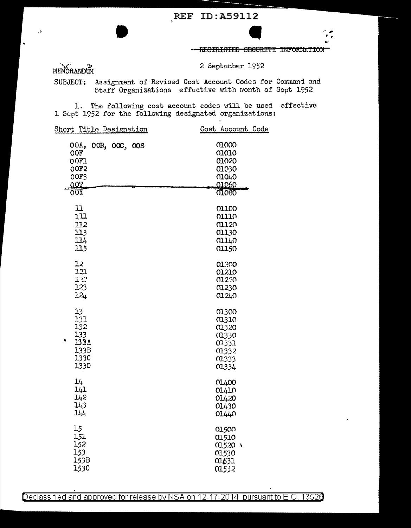RESTRICTED SECURITY INFORMATION

MEMORANDUM

 $\mathbf{r}$ 

 $\cdot$ 

 $\hat{\mathbf{a}}$ 

2 September 1952

SUBJECT:

Assignment of Revised Cost Account Codes for Command and Staff Organizations effective with month of Sopt 1952

1. The following cost account codes will be used effective 1 Sopt 1952 for the following designated organizations:

| Short Title Designation                           | Cost Account Code                         |
|---------------------------------------------------|-------------------------------------------|
| 00A, 00B, 00C, 00S<br>OOF<br>0OF1<br>00F2<br>00F3 | 01000<br>01010<br>01020<br>01030<br>01040 |
| 0OT                                               | 01060                                     |
| <u>001</u>                                        | 01080                                     |
| 11<br>111                                         | 01100<br>01110                            |
| 112                                               | 01120                                     |
| 113                                               | 01130                                     |
| 114                                               | 01140                                     |
| 115                                               | 01150                                     |
| 12                                                | 01.200                                    |
| 121                                               | 01210                                     |
| 12                                                | 01230                                     |
| 123                                               | 01230                                     |
| 12 <sub>4</sub>                                   | 01240                                     |
| 13                                                | 01300                                     |
| 131                                               | 01310                                     |
| 132                                               | 01320                                     |
| 133                                               | 01330                                     |
| ٠<br>133A                                         | 01331                                     |
| 133B                                              | 01332                                     |
| 133C                                              | <b>01333</b>                              |
| 133D                                              | 01334                                     |
| 14                                                | 01400                                     |
| 141                                               | 01410                                     |
| 142                                               | 01420                                     |
| 143                                               | 01430                                     |
| 144                                               | 01440                                     |
| 15                                                | 01500                                     |
| 151                                               | 01510                                     |
| 152                                               | 01520 \                                   |
| 153                                               | 01530                                     |
| 153B                                              | 01631                                     |
| 153C                                              | 01532                                     |
|                                                   |                                           |

Declassified and approved for release by NSA on 12-17-2014 pursuant to E.O. 13526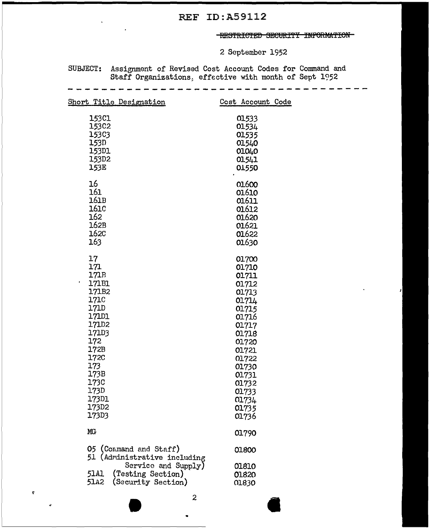## REF ID:A59112

## THESTRICTED SECURITY INFORMATION

2 September 1952

SUBJECT: Assignment of Revised Cost Account Codes for Command and Staff Organizations, effective with month of Sept 1952

| Short Title Designation                                                                                                                        | Cost Account Code                |
|------------------------------------------------------------------------------------------------------------------------------------------------|----------------------------------|
| 153C1                                                                                                                                          | 01533                            |
| 15302                                                                                                                                          | 01534                            |
| 15303                                                                                                                                          | 01535                            |
| 153D                                                                                                                                           | 01540                            |
| 153D1                                                                                                                                          | 01040                            |
| 153D2                                                                                                                                          | 01541                            |
| 153E                                                                                                                                           | 01550                            |
| 16                                                                                                                                             | 01600                            |
| 161                                                                                                                                            | 01610                            |
| 161B                                                                                                                                           | 01611                            |
| 161C                                                                                                                                           | 01612                            |
| 162                                                                                                                                            | 01620                            |
| 162B                                                                                                                                           | 01621                            |
| 162C                                                                                                                                           | 01622                            |
| 163                                                                                                                                            | 01630                            |
| 17                                                                                                                                             | 01700                            |
| 171                                                                                                                                            | 01710                            |
| 171B                                                                                                                                           | 01711                            |
| 171B1                                                                                                                                          | 01712                            |
| 171B2                                                                                                                                          | 01713                            |
| 171C                                                                                                                                           | 01714                            |
| 171D                                                                                                                                           | 01715                            |
| <b>171D1</b>                                                                                                                                   | 01716                            |
| 171D2                                                                                                                                          | 01717                            |
| 171D3                                                                                                                                          | 01718                            |
| 172                                                                                                                                            | 01720                            |
| 172B                                                                                                                                           | 01721                            |
| 172C                                                                                                                                           | 01722                            |
| 173                                                                                                                                            | 01730                            |
| 173B                                                                                                                                           | 01731                            |
| 173C                                                                                                                                           | 01732                            |
| 173D                                                                                                                                           | 01733                            |
| 173D1                                                                                                                                          | 01734                            |
| 173D2                                                                                                                                          | 01735                            |
| 173D3                                                                                                                                          | 01736                            |
| MG                                                                                                                                             | 01790                            |
| 05 (Command and Staff)<br>51 (Administrative including<br>Service and Supply)<br>51A1<br>(Testing Section)<br>51.A2<br>(Security Section)<br>2 | 01800<br>01810<br>01820<br>01830 |

 $\pmb{\tau}$ 

**"**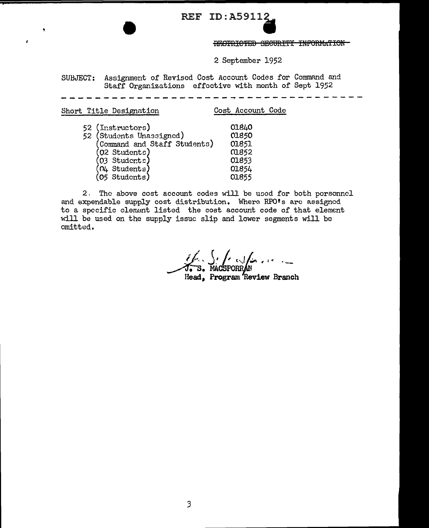**REF ID: A59112** 

RESTRICTED SECURITY INFORMATION

2 September 1952

SUBJECT: Assignment of Revised Cost Account Codes for Command and Staff Organizations effective with month of Sept 1952

Short Title Designation Cost Account Code 01840 52 (Instructors) 01850 52 (Students Unassigned) (Command and Staff Students) 01851 (02 Students) 01852  $(03$  Students) 01853  $(04 \text{ Students})$ 01854  $(05$  Students) 01855

 $\lambda$ 

2. The above cost account codes will be used for both porsonnel and expendable supply cost distribution. Where RPO's are assigned to a specific clement listed the cost account code of that element will be used on the supply issuc slip and lower segments will be omitted.

S. S. C. Lands Head. Program Review Branch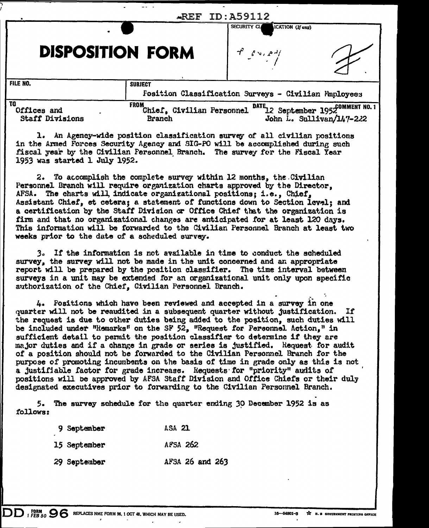|                                             | AREF                                                                    | TD . 259112                                                         |                                                                                        |
|---------------------------------------------|-------------------------------------------------------------------------|---------------------------------------------------------------------|----------------------------------------------------------------------------------------|
|                                             |                                                                         | SECURITY CL<br>ICATION (If any)                                     |                                                                                        |
| <b>DISPOSITION FORM</b>                     |                                                                         | $\int_{0}^{\pi}$ $\int_{0}^{\pi}$ $\int_{0}^{\pi}$ $\int_{0}^{\pi}$ |                                                                                        |
| FILE NO.                                    | <b>SUBJECT</b>                                                          | Fosition Classification Surveys - Civilian Fanloyees                |                                                                                        |
| TO<br>Offices and<br><b>Staff Divisions</b> | <b>FROM</b><br>Chief, Civilian Personnel<br>Branch                      |                                                                     | DATE <sub>12</sub> September 1952 <sup>COMMENT NO. 1</sup><br>John L. Sullivan/147-222 |
| ı.                                          | An Agency-wide position classification survey of all civilian positions |                                                                     |                                                                                        |

in the Armed Forces Security Agency and SIG-PO will be accomplished during such fiscal year by the Civilian Personnel Branch. The survey for the Fiscal Year 1953 was started 1 July 1952.

To accomplish the complete survey within 12 months, the Civilian  $2.$ Personnel Branch will require organization charts approved by the Director. AFSA. The charts will, indicate organizational positions; i.e., Chief, Assistant Chief, et cetera; a statement of functions down to Section level; and a certification by the Staff Division or Office Chief that the organization is firm and that no organizational changes are anticipated for at least 120 days. This information will be forwarded to the Civilian Personnel Branch at least two weeks prior to the date of a scheduled survey.

3. If the information is not available in time to conduct the scheduled survey, the survey will not be made in the unit concerned and an appropriate report will be prepared by the position classifier. The time interval between surveys in a unit may be extended for an organizational unit only upon specific authorization of the Chief, Civilian Personnel Branch.

4. Fositions which have been reviewed and accepted in a survey in one quarter will not be reaudited in a subsequent quarter without justification. If the request is due to other duties being added to the position, such duties will be included under "Remarks" on the SF 52, "Request for Personnel Action," in sufficient detail to permit the position classifier to determine if they are major duties and if a change in grade or series is justified. Request for audit of a position should not be forwarded to the Civilian Personnel Branch for the purpose of promoting incumbents on the basis of time in grade only as this is not a justifiable factor for grade increase. Requests for "priority" audits of positions will be approved by AFSA Staff Division and Office Chiefs or their duly designated executives prior to forwarding to the Civilian Personnel Branch.

The survey schedule for the quarter ending 30 December 1952 is as 5. follows:

| 9 September  | ASA 21          |  |  |  |  |  |
|--------------|-----------------|--|--|--|--|--|
| 15 September | AFSA 262        |  |  |  |  |  |
| 29 September | AFSA 26 and 263 |  |  |  |  |  |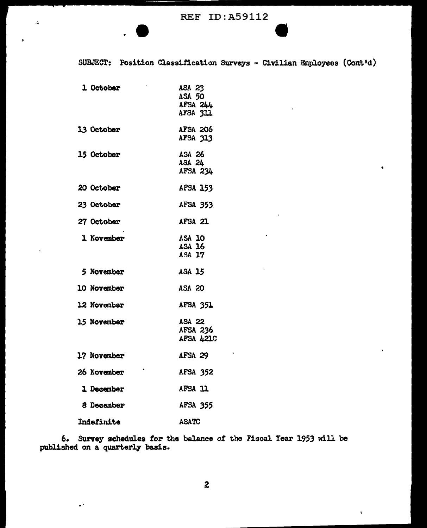SUBJECT: Position Classification Surveys - Civilian Employees (Cont'd)

| 1 October   | ASA 23<br><b>ASA 50</b><br>AFSA 244<br>AFSA 311 |
|-------------|-------------------------------------------------|
| 13 October  | AFSA 206<br>AFSA 313                            |
| 15 October  | ASA 26<br>ASA 24<br>AFSA 234                    |
| 20 October  | <b>AFSA 153</b>                                 |
| 23 October  | <b>AFSA 353</b>                                 |
| 27 October  | AFSA 21                                         |
| 1 November  | ASA 10<br>ASA 16<br>ASA 17                      |
| 5 November  | <b>ASA 15</b>                                   |
| 10 November | <b>ASA 20</b>                                   |
| 12 November | <b>AFSA 351</b>                                 |
| 15 November | ASA 22<br>AFSA 236<br>AFSA 4210                 |
| 17 November | AFSA 29                                         |
| 26 November | <b>AFSA 352</b>                                 |
| 1 December  | AFSA 11                                         |
| 8 December  | <b>AFSA 355</b>                                 |
| Indefinite  | <b>ASATC</b>                                    |

 $\ddotsc$ 

 $\Lambda$ 

6. Survey schedules for the balance of the Fiscal Year 1953 will be published on a quarterly basis.

 $\hat{\mathbf{v}}$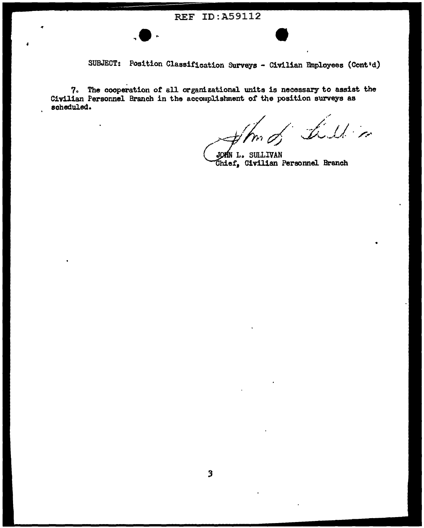## **REF ID:A59112**



7. The cooperation of all organizational units is necessary to assist the Civilian Personnel Branch in the accomplishment of the position surveys as scheduled.

L. L.Min

JOMN L. SULLIVAN<br>Chief, Civilian Personnel Branch